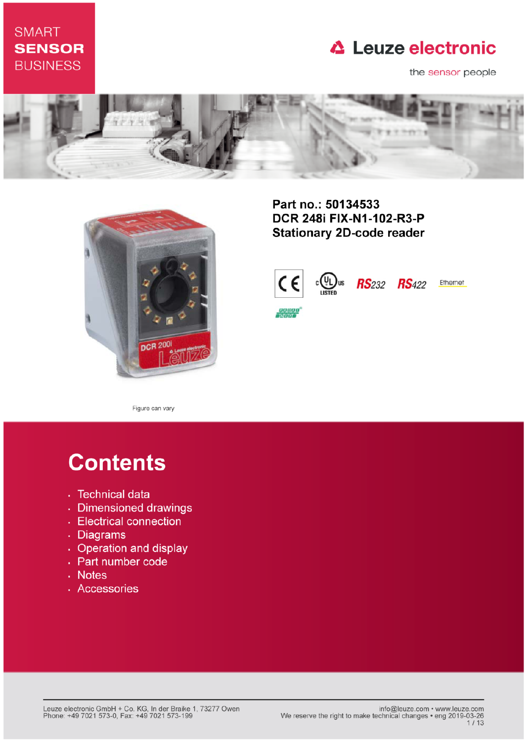# **SMART SENSOR BUSINESS**

# **△ Leuze electronic**

the sensor people





Part no.: 50134533 DCR 248i FIX-N1-102-R3-P **Stationary 2D-code reader** 



Figure can vary

# **Contents**

- · Technical data
- · Dimensioned drawings
- Electrical connection
- . Diagrams
- Operation and display
- Part number code
- Notes
- · Accessories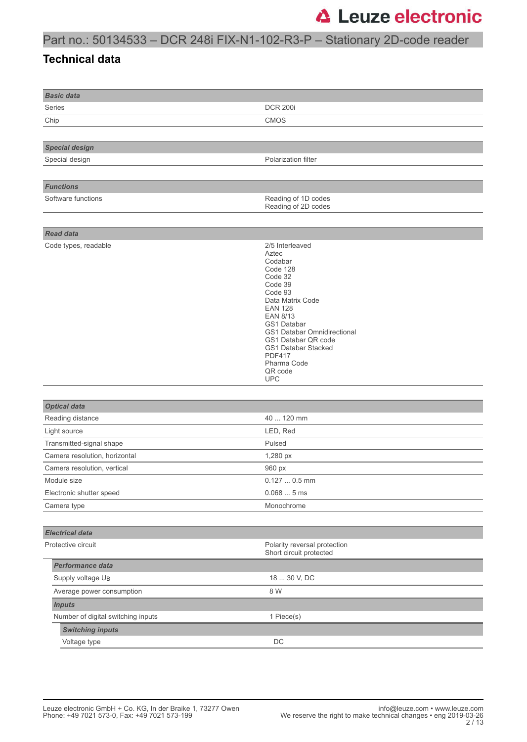### Part no.: 50134533 – DCR 248i FIX-N1-102-R3-P – Stationary 2D-code reader

#### **Technical data**

| <b>Basic data</b>                  |                                                                                                                                                                                                                                                                                                |  |  |
|------------------------------------|------------------------------------------------------------------------------------------------------------------------------------------------------------------------------------------------------------------------------------------------------------------------------------------------|--|--|
| Series                             | <b>DCR 200i</b>                                                                                                                                                                                                                                                                                |  |  |
| Chip                               | <b>CMOS</b>                                                                                                                                                                                                                                                                                    |  |  |
|                                    |                                                                                                                                                                                                                                                                                                |  |  |
| <b>Special design</b>              |                                                                                                                                                                                                                                                                                                |  |  |
| Special design                     | Polarization filter                                                                                                                                                                                                                                                                            |  |  |
|                                    |                                                                                                                                                                                                                                                                                                |  |  |
| <b>Functions</b>                   |                                                                                                                                                                                                                                                                                                |  |  |
| Software functions                 | Reading of 1D codes<br>Reading of 2D codes                                                                                                                                                                                                                                                     |  |  |
|                                    |                                                                                                                                                                                                                                                                                                |  |  |
| <b>Read data</b>                   |                                                                                                                                                                                                                                                                                                |  |  |
| Code types, readable               | 2/5 Interleaved<br>Aztec<br>Codabar<br>Code 128<br>Code 32<br>Code 39<br>Code 93<br>Data Matrix Code<br><b>EAN 128</b><br><b>EAN 8/13</b><br>GS1 Databar<br>GS1 Databar Omnidirectional<br>GS1 Databar QR code<br>GS1 Databar Stacked<br><b>PDF417</b><br>Pharma Code<br>QR code<br><b>UPC</b> |  |  |
|                                    |                                                                                                                                                                                                                                                                                                |  |  |
| <b>Optical data</b>                |                                                                                                                                                                                                                                                                                                |  |  |
| Reading distance                   | 40  120 mm                                                                                                                                                                                                                                                                                     |  |  |
| Light source                       | LED, Red                                                                                                                                                                                                                                                                                       |  |  |
| Transmitted-signal shape           | Pulsed                                                                                                                                                                                                                                                                                         |  |  |
| Camera resolution, horizontal      | 1,280 px                                                                                                                                                                                                                                                                                       |  |  |
| Camera resolution, vertical        | 960 px                                                                                                                                                                                                                                                                                         |  |  |
| Module size                        | $0.1270.5$ mm                                                                                                                                                                                                                                                                                  |  |  |
| Electronic shutter speed           | 0.0685ms                                                                                                                                                                                                                                                                                       |  |  |
| Camera type                        | Monochrome                                                                                                                                                                                                                                                                                     |  |  |
|                                    |                                                                                                                                                                                                                                                                                                |  |  |
| <b>Electrical data</b>             |                                                                                                                                                                                                                                                                                                |  |  |
| Protective circuit                 | Polarity reversal protection<br>Short circuit protected                                                                                                                                                                                                                                        |  |  |
| Performance data                   |                                                                                                                                                                                                                                                                                                |  |  |
| Supply voltage U <sub>B</sub>      | 18  30 V, DC                                                                                                                                                                                                                                                                                   |  |  |
| Average power consumption          | 8 W                                                                                                                                                                                                                                                                                            |  |  |
| <b>Inputs</b>                      |                                                                                                                                                                                                                                                                                                |  |  |
| Number of digital switching inputs | 1 Piece(s)                                                                                                                                                                                                                                                                                     |  |  |
| <b>Switching inputs</b>            |                                                                                                                                                                                                                                                                                                |  |  |
| Voltage type                       | DC                                                                                                                                                                                                                                                                                             |  |  |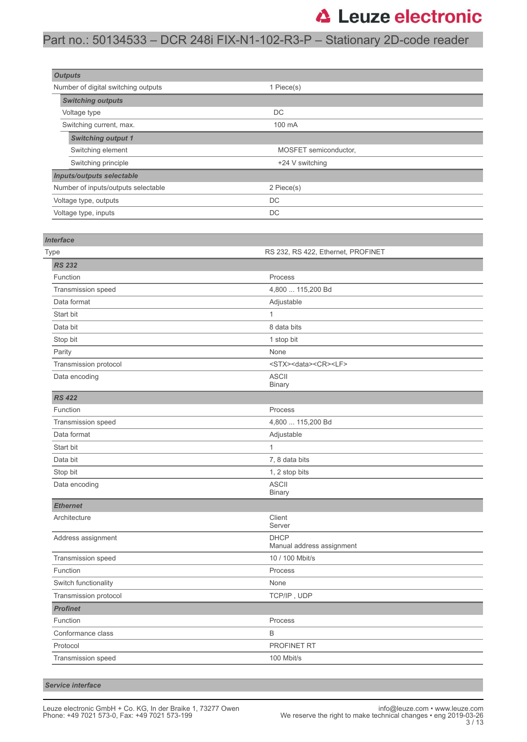### Part no.: 50134533 – DCR 248i FIX-N1-102-R3-P – Stationary 2D-code reader

| <b>Outputs</b>                      |                       |  |
|-------------------------------------|-----------------------|--|
| Number of digital switching outputs | 1 Piece(s)            |  |
| <b>Switching outputs</b>            |                       |  |
| Voltage type                        | <b>DC</b>             |  |
| Switching current, max.             | 100 mA                |  |
| <b>Switching output 1</b>           |                       |  |
| Switching element                   | MOSFET semiconductor, |  |
| Switching principle                 | +24 V switching       |  |
| Inputs/outputs selectable           |                       |  |
| Number of inputs/outputs selectable | 2 Piece(s)            |  |
| Voltage type, outputs               | DC                    |  |
| Voltage type, inputs                | DC                    |  |

| <b>Interface</b>      |                                            |  |  |
|-----------------------|--------------------------------------------|--|--|
| Type                  | RS 232, RS 422, Ethernet, PROFINET         |  |  |
| <b>RS 232</b>         |                                            |  |  |
| Function              | Process                                    |  |  |
| Transmission speed    | 4,800  115,200 Bd                          |  |  |
| Data format           | Adjustable                                 |  |  |
| Start bit             | 1                                          |  |  |
| Data bit              | 8 data bits                                |  |  |
| Stop bit              | 1 stop bit                                 |  |  |
| Parity                | None                                       |  |  |
| Transmission protocol | <stx><data><cr><lf></lf></cr></data></stx> |  |  |
| Data encoding         | <b>ASCII</b><br><b>Binary</b>              |  |  |
| <b>RS 422</b>         |                                            |  |  |
| Function              | Process                                    |  |  |
| Transmission speed    | 4,800  115,200 Bd                          |  |  |
| Data format           | Adjustable                                 |  |  |
| Start bit             | 1                                          |  |  |
| Data bit              | 7, 8 data bits                             |  |  |
| Stop bit              | 1, 2 stop bits                             |  |  |
| Data encoding         | <b>ASCII</b><br><b>Binary</b>              |  |  |
| <b>Ethernet</b>       |                                            |  |  |
| Architecture          | Client<br>Server                           |  |  |
| Address assignment    | <b>DHCP</b><br>Manual address assignment   |  |  |
| Transmission speed    | 10 / 100 Mbit/s                            |  |  |
| Function              | Process                                    |  |  |
| Switch functionality  | None                                       |  |  |
| Transmission protocol | TCP/IP, UDP                                |  |  |
| <b>Profinet</b>       |                                            |  |  |
| Function              | Process                                    |  |  |
| Conformance class     | B                                          |  |  |
| Protocol              | <b>PROFINET RT</b>                         |  |  |
| Transmission speed    | 100 Mbit/s                                 |  |  |
|                       |                                            |  |  |

*Service interface*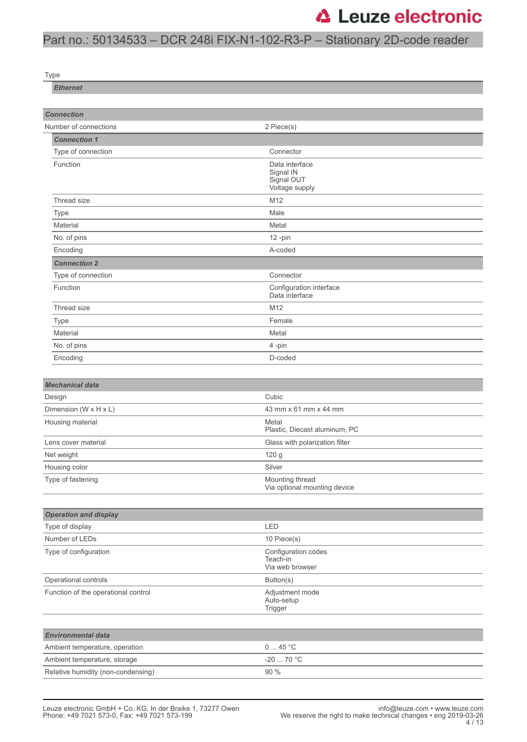# Part no.: 50134533 – DCR 248i FIX-N1-102-R3-P – Stationary 2D-code reader

Type

*Ethernet*

| <b>Connection</b>                   |                                                             |  |  |
|-------------------------------------|-------------------------------------------------------------|--|--|
| Number of connections               | 2 Piece(s)                                                  |  |  |
| <b>Connection 1</b>                 |                                                             |  |  |
| Type of connection                  | Connector                                                   |  |  |
| Function                            | Data interface<br>Signal IN<br>Signal OUT<br>Voltage supply |  |  |
| Thread size                         | M12                                                         |  |  |
| <b>Type</b>                         | Male                                                        |  |  |
| Material                            | Metal                                                       |  |  |
| No. of pins                         | $12$ -pin                                                   |  |  |
| Encoding                            | A-coded                                                     |  |  |
| <b>Connection 2</b>                 |                                                             |  |  |
| Type of connection                  | Connector                                                   |  |  |
| Function                            | Configuration interface<br>Data interface                   |  |  |
| Thread size                         | M12                                                         |  |  |
| <b>Type</b>                         | Female                                                      |  |  |
| Material                            | Metal                                                       |  |  |
| No. of pins                         | 4-pin                                                       |  |  |
| Encoding                            | D-coded                                                     |  |  |
|                                     |                                                             |  |  |
| <b>Mechanical data</b>              |                                                             |  |  |
| Design                              | Cubic                                                       |  |  |
| Dimension (W x H x L)               | 43 mm x 61 mm x 44 mm                                       |  |  |
| Housing material                    | Metal<br>Plastic, Diecast aluminum, PC                      |  |  |
| Lens cover material                 | Glass with polarization filter                              |  |  |
| Net weight                          | 120 g                                                       |  |  |
| Housing color                       | Silver                                                      |  |  |
| Type of fastening                   | Mounting thread<br>Via optional mounting device             |  |  |
|                                     |                                                             |  |  |
| <b>Operation and display</b>        |                                                             |  |  |
| Type of display                     | LED                                                         |  |  |
| Number of LEDs                      | 10 Piece(s)                                                 |  |  |
| Type of configuration               | Configuration codes<br>Teach-in<br>Via web browser          |  |  |
| Operational controls                | Button(s)                                                   |  |  |
| Function of the operational control | Adjustment mode<br>Auto-setup<br>Trigger                    |  |  |
|                                     |                                                             |  |  |
| <b>Environmental data</b>           |                                                             |  |  |
| Ambient temperature, operation      | 045 °C                                                      |  |  |
| Ambient temperature, storage        | $-20$ 70 °C                                                 |  |  |
| Relative humidity (non-condensing)  | 90 %                                                        |  |  |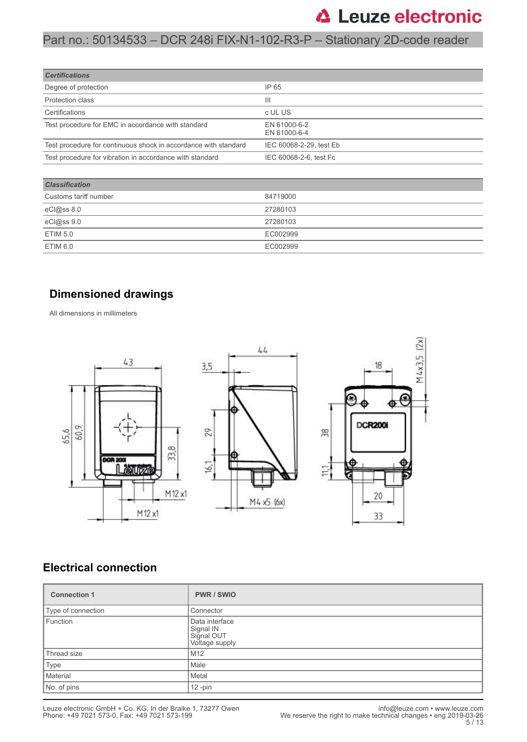### Part no.: 50134533 – DCR 248i FIX-N1-102-R3-P – Stationary 2D-code reader

| <b>Certifications</b>                                           |                              |
|-----------------------------------------------------------------|------------------------------|
| Degree of protection                                            | IP 65                        |
| <b>Protection class</b>                                         | Ш                            |
| Certifications                                                  | c UL US                      |
| Test procedure for EMC in accordance with standard              | EN 61000-6-2<br>EN 61000-6-4 |
| Test procedure for continuous shock in accordance with standard | IEC 60068-2-29, test Eb      |
| Test procedure for vibration in accordance with standard        | IEC 60068-2-6, test Fc       |
|                                                                 |                              |

| <b>Classification</b> |          |  |
|-----------------------|----------|--|
| Customs tariff number | 84719000 |  |
| eCl@ss 8.0            | 27280103 |  |
| eCl@ss 9.0            | 27280103 |  |
| ETIM 5.0              | EC002999 |  |
| ETIM 6.0              | EC002999 |  |

#### **Dimensioned drawings**

All dimensions in millimeters



#### **Electrical connection**

| <b>Connection 1</b> | <b>PWR/SWIO</b>                                             |
|---------------------|-------------------------------------------------------------|
| Type of connection  | Connector                                                   |
| Function            | Data interface<br>Signal IN<br>Signal OUT<br>Voltage supply |
| Thread size         | M <sub>12</sub>                                             |
| Type                | Male                                                        |
| Material            | Metal                                                       |
| No. of pins         | $12$ -pin                                                   |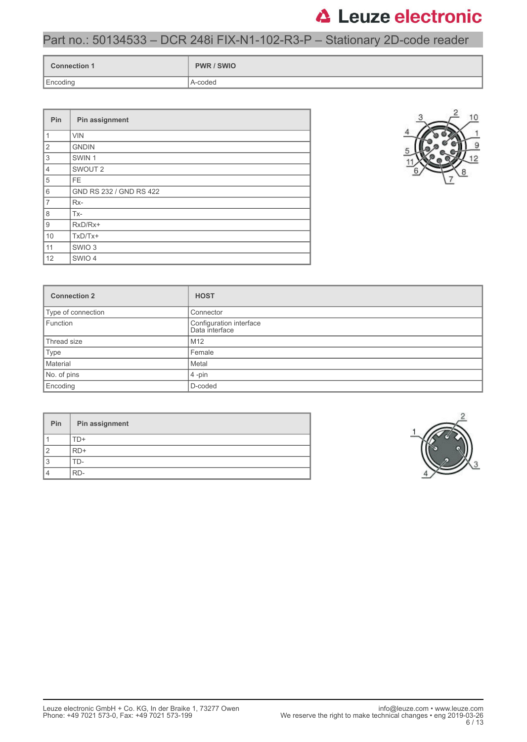### Part no.: 50134533 – DCR 248i FIX-N1-102-R3-P – Stationary 2D-code reader

| <b>Connection 1</b> | <b>PWR / SWIO</b> |
|---------------------|-------------------|
| Encoding            | A-coded           |

| Pin            | Pin assignment          |
|----------------|-------------------------|
| $\mathbf{1}$   | <b>VIN</b>              |
| $\mathbf{2}$   | <b>GNDIN</b>            |
| 3              | SWIN <sub>1</sub>       |
| $\overline{4}$ | SWOUT <sub>2</sub>      |
| 5              | FE.                     |
| 6              | GND RS 232 / GND RS 422 |
| $\overline{7}$ | Rx-                     |
| 8              | Tx-                     |
| 9              | RxD/Rx+                 |
| 10             | $TxD/Tx+$               |
| 11             | SWIO <sub>3</sub>       |
| 12             | SWIO 4                  |



| <b>Connection 2</b> | <b>HOST</b>                               |  |
|---------------------|-------------------------------------------|--|
| Type of connection  | Connector                                 |  |
| Function            | Configuration interface<br>Data interface |  |
| Thread size         | M <sub>12</sub>                           |  |
| Type                | Female                                    |  |
| Material<br>Metal   |                                           |  |
| No. of pins         | $4$ -pin                                  |  |
| Encoding            | D-coded                                   |  |

| Pin | Pin assignment |
|-----|----------------|
|     | $\Box$         |
|     | $RD+$          |
| c   | ' D-           |
|     | RD-            |

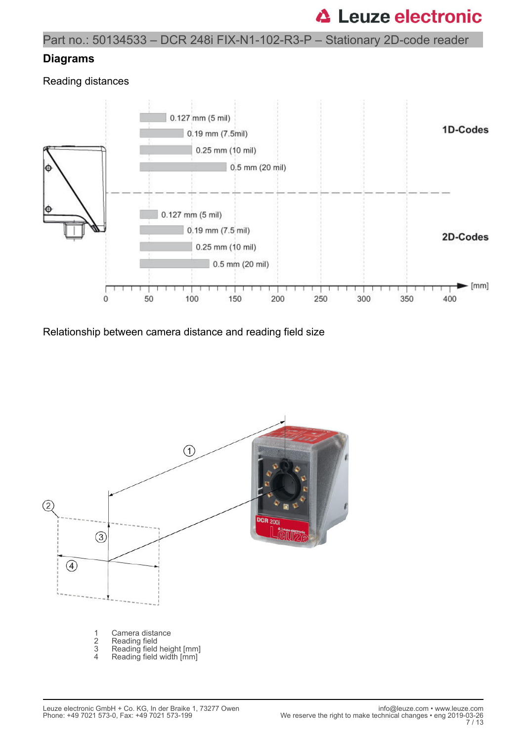Part no.: 50134533 – DCR 248i FIX-N1-102-R3-P – Stationary 2D-code reader

#### **Diagrams**

Reading distances



Relationship between camera distance and reading field size

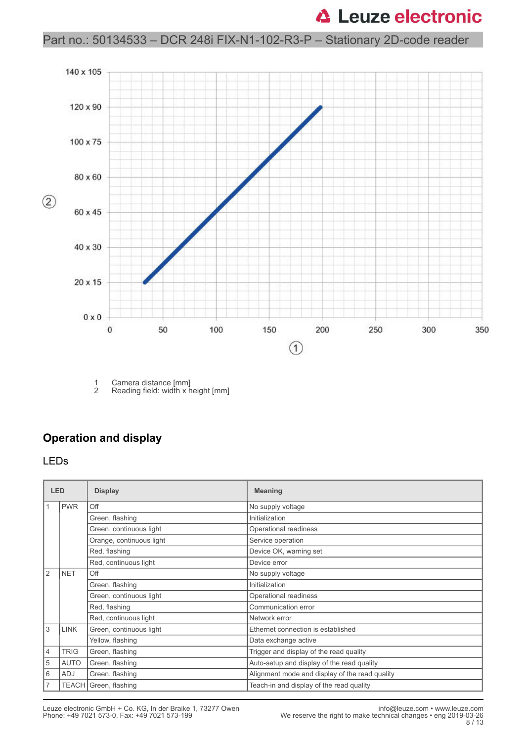### Part no.: 50134533 – DCR 248i FIX-N1-102-R3-P – Stationary 2D-code reader



1 Camera distance [mm]<br>2 Reading field: width x h Reading field: width x height [mm]

#### **Operation and display**

#### LEDs

| <b>LED</b>     |             | <b>Display</b>           | <b>Meaning</b>                                 |
|----------------|-------------|--------------------------|------------------------------------------------|
|                | <b>PWR</b>  | Off                      | No supply voltage                              |
|                |             | Green, flashing          | Initialization                                 |
|                |             | Green, continuous light  | Operational readiness                          |
|                |             | Orange, continuous light | Service operation                              |
|                |             | Red, flashing            | Device OK, warning set                         |
|                |             | Red, continuous light    | Device error                                   |
| 2              | <b>NET</b>  | Off                      | No supply voltage                              |
|                |             | Green, flashing          | Initialization                                 |
|                |             | Green, continuous light  | Operational readiness                          |
|                |             | Red, flashing            | Communication error                            |
|                |             | Red, continuous light    | Network error                                  |
| 3              | <b>LINK</b> | Green, continuous light  | Ethernet connection is established             |
|                |             | Yellow, flashing         | Data exchange active                           |
| $\overline{4}$ | <b>TRIG</b> | Green, flashing          | Trigger and display of the read quality        |
| 5              | <b>AUTO</b> | Green, flashing          | Auto-setup and display of the read quality     |
| 6              | ADJ         | Green, flashing          | Alignment mode and display of the read quality |
| $\overline{7}$ |             | TEACH Green, flashing    | Teach-in and display of the read quality       |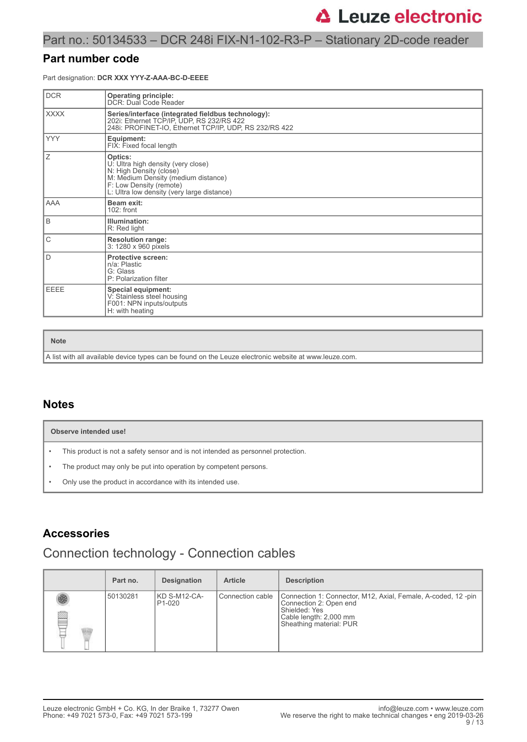#### Part no.: 50134533 – DCR 248i FIX-N1-102-R3-P – Stationary 2D-code reader

#### **Part number code**

Part designation: **DCR XXX YYY-Z-AAA-BC-D-EEEE**

| <b>DCR</b>  | <b>Operating principle:</b><br>DCR: Dual Code Reader                                                                                                                                     |
|-------------|------------------------------------------------------------------------------------------------------------------------------------------------------------------------------------------|
| <b>XXXX</b> | Series/interface (integrated fieldbus technology):<br>202i: Ethernet TCP/IP, UDP, RS 232/RS 422<br>248i: PROFINET-IO, Ethernet TCP/IP, UDP, RS 232/RS 422                                |
| <b>YYY</b>  | Equipment:<br>FIX: Fixed focal length                                                                                                                                                    |
| Ζ           | Optics:<br>U: Ultra high density (very close)<br>N: High Density (close)<br>M: Medium Density (medium distance)<br>F: Low Density (remote)<br>L: Ultra low density (very large distance) |
| AAA         | Beam exit:<br>$102:$ front                                                                                                                                                               |
| B           | Illumination:<br>R: Red light                                                                                                                                                            |
| C           | <b>Resolution range:</b><br>3: 1280 x 960 pixels                                                                                                                                         |
| D           | <b>Protective screen:</b><br>n/a: Plastic<br>G: Glass<br>P: Polarization filter                                                                                                          |
| EEEE        | <b>Special equipment:</b><br>V: Stainless steel housing<br>F001: NPN inputs/outputs<br>H: with heating                                                                                   |

**Note**

A list with all available device types can be found on the Leuze electronic website at www.leuze.com.

#### **Notes**

|           | Observe intended use!                                                            |  |  |  |  |  |  |
|-----------|----------------------------------------------------------------------------------|--|--|--|--|--|--|
| $\bullet$ | This product is not a safety sensor and is not intended as personnel protection. |  |  |  |  |  |  |
| $\bullet$ | The product may only be put into operation by competent persons.                 |  |  |  |  |  |  |
| $\bullet$ | Only use the product in accordance with its intended use.                        |  |  |  |  |  |  |

#### **Accessories**

### Connection technology - Connection cables

|   | Part no. | <b>Designation</b>       | <b>Article</b>   | <b>Description</b>                                                                                                                                           |
|---|----------|--------------------------|------------------|--------------------------------------------------------------------------------------------------------------------------------------------------------------|
| R | 50130281 | I KD S-M12-CA-<br>P1-020 | Connection cable | Connection 1: Connector, M12, Axial, Female, A-coded, 12-pin<br>Connection 2: Open end<br>Shielded: Yes<br>Cable length: 2,000 mm<br>Sheathing material: PUR |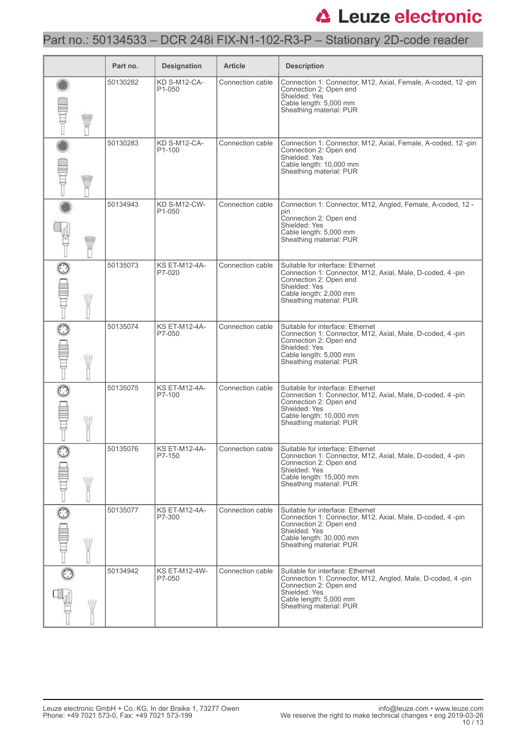### Part no.: 50134533 – DCR 248i FIX-N1-102-R3-P – Stationary 2D-code reader

|         |   | Part no. | <b>Designation</b>                  | <b>Article</b>   | <b>Description</b>                                                                                                                                                                             |
|---------|---|----------|-------------------------------------|------------------|------------------------------------------------------------------------------------------------------------------------------------------------------------------------------------------------|
|         |   | 50130282 | KD S-M12-CA-<br>P <sub>1</sub> -050 | Connection cable | Connection 1: Connector, M12, Axial, Female, A-coded, 12-pin<br>Connection 2: Open end<br>Shielded: Yes<br>Cable length: 5,000 mm<br>Sheathing material: PUR                                   |
|         |   | 50130283 | KD S-M12-CA-<br>P <sub>1</sub> -100 | Connection cable | Connection 1: Connector, M12, Axial, Female, A-coded, 12-pin<br>Connection 2: Open end<br>Shielded: Yes<br>Cable length: 10,000 mm<br>Sheathing material: PUR                                  |
|         |   | 50134943 | <b>KD S-M12-CW-</b><br>P1-050       | Connection cable | Connection 1: Connector, M12, Angled, Female, A-coded, 12 -<br>pin<br>Connection 2: Open end<br>Shielded: Yes<br>Cable length: 5,000 mm<br>Sheathing material: PUR                             |
|         |   | 50135073 | <b>KS ET-M12-4A-</b><br>P7-020      | Connection cable | Suitable for interface: Ethernet<br>Connection 1: Connector, M12, Axial, Male, D-coded, 4-pin<br>Connection 2: Open end<br>Shielded: Yes<br>Cable length: 2,000 mm<br>Sheathing material: PUR  |
|         | W | 50135074 | <b>KS ET-M12-4A-</b><br>P7-050      | Connection cable | Suitable for interface: Ethernet<br>Connection 1: Connector, M12, Axial, Male, D-coded, 4-pin<br>Connection 2: Open end<br>Shielded: Yes<br>Cable length: 5,000 mm<br>Sheathing material: PUR  |
|         |   | 50135075 | <b>KS ET-M12-4A-</b><br>P7-100      | Connection cable | Suitable for interface: Ethernet<br>Connection 1: Connector, M12, Axial, Male, D-coded, 4-pin<br>Connection 2: Open end<br>Shielded: Yes<br>Cable length: 10,000 mm<br>Sheathing material: PUR |
|         | W | 50135076 | KS ET-M12-4A-<br>P7-150             | Connection cable | Suitable for interface: Ethernet<br>Connection 1: Connector, M12, Axial, Male, D-coded, 4-pin<br>Connection 2: Open end<br>Shielded: Yes<br>Cable length: 15,000 mm<br>Sheathing material: PUR |
| $\odot$ | W | 50135077 | <b>KS ET-M12-4A-</b><br>P7-300      | Connection cable | Suitable for interface: Ethernet<br>Connection 1: Connector, M12, Axial, Male, D-coded, 4-pin<br>Connection 2: Open end<br>Shielded: Yes<br>Cable length: 30,000 mm<br>Sheathing material: PUR |
|         | W | 50134942 | <b>KS ET-M12-4W-</b><br>P7-050      | Connection cable | Suitable for interface: Ethernet<br>Connection 1: Connector, M12, Angled, Male, D-coded, 4-pin<br>Connection 2: Open end<br>Shielded: Yes<br>Cable length: 5,000 mm<br>Sheathing material: PUR |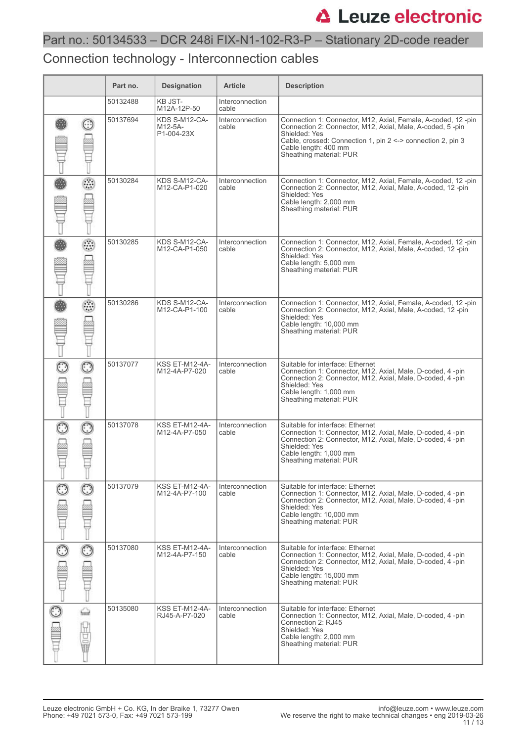# Part no.: 50134533 – DCR 248i FIX-N1-102-R3-P – Stationary 2D-code reader

### Connection technology - Interconnection cables

|         |   | Part no. | <b>Designation</b>                     | <b>Article</b>                  | <b>Description</b>                                                                                                                                                                                                                                           |
|---------|---|----------|----------------------------------------|---------------------------------|--------------------------------------------------------------------------------------------------------------------------------------------------------------------------------------------------------------------------------------------------------------|
|         |   | 50132488 | <b>KB JST-</b><br>M12A-12P-50          | <b>Interconnection</b><br>cable |                                                                                                                                                                                                                                                              |
| ☺       |   | 50137694 | KDS S-M12-CA-<br>M12-5A-<br>P1-004-23X | <b>Interconnection</b><br>cable | Connection 1: Connector, M12, Axial, Female, A-coded, 12-pin<br>Connection 2: Connector, M12, Axial, Male, A-coded, 5-pin<br>Shielded: Yes<br>Cable, crossed: Connection 1, pin 2 <-> connection 2, pin 3<br>Cable length: 400 mm<br>Sheathing material: PUR |
|         |   | 50130284 | KDS S-M12-CA-<br>M12-CA-P1-020         | Interconnection<br>cable        | Connection 1: Connector, M12, Axial, Female, A-coded, 12-pin<br>Connection 2: Connector, M12, Axial, Male, A-coded, 12-pin<br>Shielded: Yes<br>Cable length: 2,000 mm<br>Sheathing material: PUR                                                             |
|         | ☉ | 50130285 | KDS S-M12-CA-<br>M12-CA-P1-050         | <b>Interconnection</b><br>cable | Connection 1: Connector, M12, Axial, Female, A-coded, 12-pin<br>Connection 2: Connector, M12, Axial, Male, A-coded, 12-pin<br>Shielded: Yes<br>Cable length: 5,000 mm<br>Sheathing material: PUR                                                             |
|         |   | 50130286 | KDS S-M12-CA-<br>M12-CA-P1-100         | Interconnection<br>cable        | Connection 1: Connector, M12, Axial, Female, A-coded, 12-pin<br>Connection 2: Connector, M12, Axial, Male, A-coded, 12-pin<br>Shielded: Yes<br>Cable length: 10,000 mm<br>Sheathing material: PUR                                                            |
| $\odot$ |   | 50137077 | <b>KSS ET-M12-4A-</b><br>M12-4A-P7-020 | <b>Interconnection</b><br>cable | Suitable for interface: Ethernet<br>Connection 1: Connector, M12, Axial, Male, D-coded, 4-pin<br>Connection 2: Connector, M12, Axial, Male, D-coded, 4 -pin<br>Shielded: Yes<br>Cable length: 1,000 mm<br>Sheathing material: PUR                            |
|         |   | 50137078 | <b>KSS ET-M12-4A-</b><br>M12-4A-P7-050 | Interconnection<br>cable        | Suitable for interface: Ethernet<br>Connection 1: Connector, M12, Axial, Male, D-coded, 4 -pin<br>Connection 2: Connector, M12, Axial, Male, D-coded, 4 -pin<br>Shielded: Yes<br>Cable length: 1,000 mm<br>Sheathing material: PUR                           |
|         |   | 50137079 | <b>KSS ET-M12-4A-</b><br>M12-4A-P7-100 | Interconnection<br>cable        | Suitable for interface: Ethernet<br>Connection 1: Connector, M12, Axial, Male, D-coded, 4 -pin<br>Connection 2: Connector, M12, Axial, Male, D-coded, 4-pin<br>Shielded: Yes<br>Cable length: 10,000 mm<br>Sheathing material: PUR                           |
| $\odot$ |   | 50137080 | <b>KSS ET-M12-4A-</b><br>M12-4A-P7-150 | Interconnection<br>cable        | Suitable for interface: Ethernet<br>Connection 1: Connector, M12, Axial, Male, D-coded, 4 -pin<br>Connection 2: Connector, M12, Axial, Male, D-coded, 4-pin<br>Shielded: Yes<br>Cable length: 15,000 mm<br>Sheathing material: PUR                           |
| ١<br>⇔  |   | 50135080 | <b>KSS ET-M12-4A-</b><br>RJ45-A-P7-020 | <b>Interconnection</b><br>cable | Suitable for interface: Ethernet<br>Connection 1: Connector, M12, Axial, Male, D-coded, 4-pin<br>Connection 2: RJ45<br>Shielded: Yes<br>Cable length: 2,000 mm<br>Sheathing material: PUR                                                                    |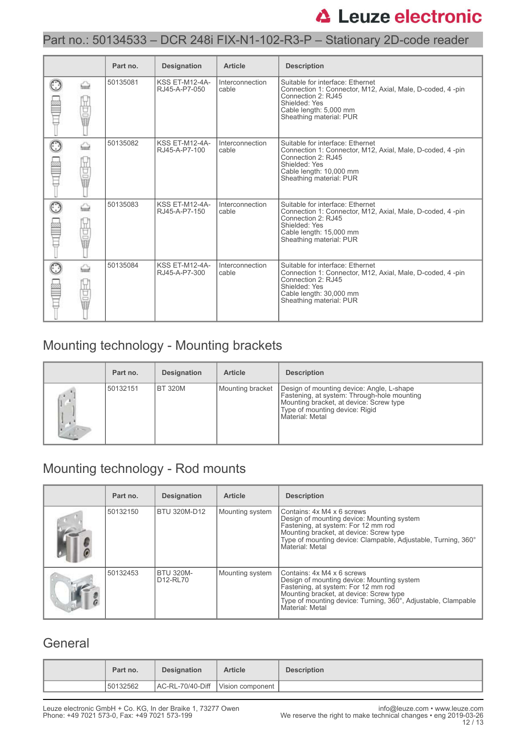### Part no.: 50134533 – DCR 248i FIX-N1-102-R3-P – Stationary 2D-code reader

|        | Part no. | <b>Designation</b>                     | <b>Article</b>           | <b>Description</b>                                                                                                                                                                          |
|--------|----------|----------------------------------------|--------------------------|---------------------------------------------------------------------------------------------------------------------------------------------------------------------------------------------|
| 9      | 50135081 | KSS ET-M12-4A-<br>RJ45-A-P7-050        | Interconnection<br>cable | Suitable for interface: Ethernet<br>Connection 1: Connector, M12, Axial, Male, D-coded, 4-pin<br>Connection 2: RJ45<br>Shielded: Yes<br>Cable length: 5,000 mm<br>Sheathing material: PUR   |
| 9      | 50135082 | <b>KSS ET-M12-4A-</b><br>RJ45-A-P7-100 | Interconnection<br>cable | Suitable for interface: Ethernet<br>Connection 1: Connector, M12, Axial, Male, D-coded, 4-pin<br>Connection 2: RJ45<br>Shielded: Yes<br>Cable length: 10,000 mm<br>Sheathing material: PUR  |
| 팀<br>ī | 50135083 | KSS ET-M12-4A-<br>RJ45-A-P7-150        | Interconnection<br>cable | Suitable for interface: Ethernet<br>Connection 1: Connector, M12, Axial, Male, D-coded, 4-pin<br>Connection 2: RJ45<br>Shielded: Yes<br>Cable length: 15,000 mm<br>Sheathing material: PUR  |
| 팀<br>ī | 50135084 | KSS ET-M12-4A-<br>RJ45-A-P7-300        | Interconnection<br>cable | Suitable for interface: Ethernet<br>Connection 1: Connector, M12, Axial, Male, D-coded, 4 -pin<br>Connection 2: RJ45<br>Shielded: Yes<br>Cable length: 30,000 mm<br>Sheathing material: PUR |

# Mounting technology - Mounting brackets

| Part no. | <b>Designation</b> | <b>Article</b>   | <b>Description</b>                                                                                                                                                                       |
|----------|--------------------|------------------|------------------------------------------------------------------------------------------------------------------------------------------------------------------------------------------|
| 50132151 | IBT 320M           | Mounting bracket | Design of mounting device: Angle, L-shape<br>Fastening, at system: Through-hole mounting<br>Mounting bracket, at device: Screw type<br>Type of mounting device: Rigid<br>Material: Metal |

## Mounting technology - Rod mounts

| Part no. | <b>Designation</b>                                    | <b>Article</b>  | <b>Description</b>                                                                                                                                                                                                                             |
|----------|-------------------------------------------------------|-----------------|------------------------------------------------------------------------------------------------------------------------------------------------------------------------------------------------------------------------------------------------|
| 50132150 | BTU 320M-D12                                          | Mounting system | Contains: 4x M4 x 6 screws<br>Design of mounting device: Mounting system<br>Fastening, at system: For 12 mm rod<br>Mounting bracket, at device: Screw type<br>Type of mounting device: Clampable, Adjustable, Turning, 360°<br>Material: Metal |
| 50132453 | <b>BTU 320M-</b><br>D <sub>12</sub> -RL <sub>70</sub> | Mounting system | Contains: 4x M4 x 6 screws<br>Design of mounting device: Mounting system<br>Fastening, at system: For 12 mm rod<br>Mounting bracket, at device: Screw type<br>Type of mounting device: Turning, 360°, Adjustable, Clampable<br>Material: Metal |

### **General**

| Part no. | <b>Designation</b> | <b>Article</b>                    | <b>Description</b> |
|----------|--------------------|-----------------------------------|--------------------|
| 50132562 |                    | AC-RL-70/40-Diff Vision component |                    |